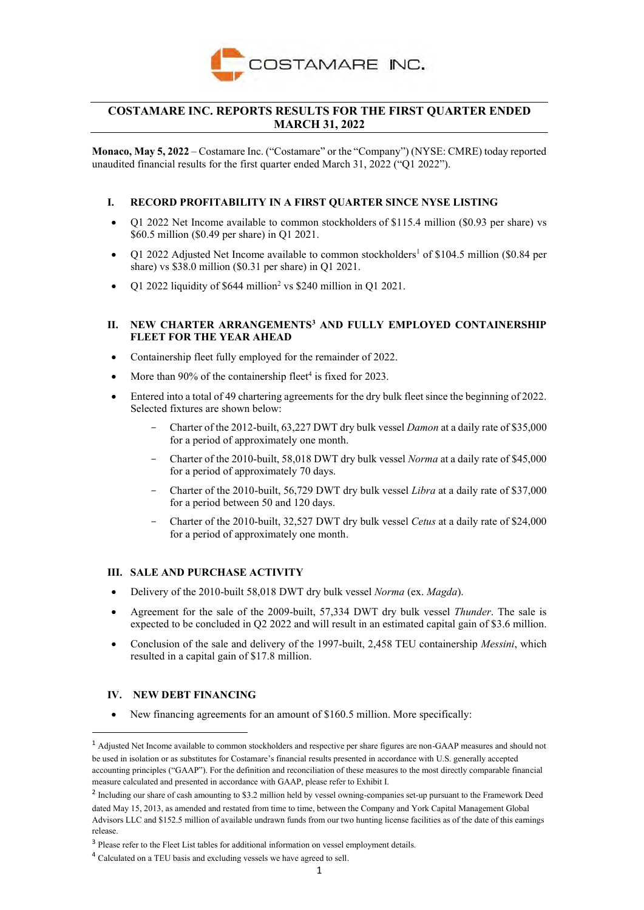

# **COSTAMARE INC. REPORTS RESULTS FOR THE FIRST QUARTER ENDED MARCH 31, 2022**

**Monaco, May 5, 2022** – Costamare Inc. ("Costamare" or the "Company") (NYSE: CMRE) today reported unaudited financial results for the first quarter ended March 31, 2022 ("Q1 2022").

### **I. RECORD PROFITABILITY IN A FIRST QUARTER SINCE NYSE LISTING**

- Q1 2022 Net Income available to common stockholders of \$115.4 million (\$0.93 per share) vs \$60.5 million (\$0.49 per share) in Q1 2021.
- Q1 2022 Adjusted Net Income available to common stockholders<sup>1</sup> of \$104.5 million (\$0.84 per share) vs \$38.0 million (\$0.31 per share) in Q1 2021.
- Q1 2022 liquidity of  $$644$  million<sup>2</sup> vs \$240 million in Q1 2021.

### **II. NEW CHARTER ARRANGEMENTS<sup>3</sup> AND FULLY EMPLOYED CONTAINERSHIP FLEET FOR THE YEAR AHEAD**

- Containership fleet fully employed for the remainder of 2022.
- More than  $90\%$  of the containership fleet<sup>4</sup> is fixed for 2023.
- Entered into a total of 49 chartering agreements for the dry bulk fleet since the beginning of 2022. Selected fixtures are shown below:
	- Charter of the 2012-built, 63,227 DWT dry bulk vessel *Damon* at a daily rate of \$35,000 for a period of approximately one month.
	- Charter of the 2010-built, 58,018 DWT dry bulk vessel *Norma* at a daily rate of \$45,000 for a period of approximately 70 days.
	- Charter of the 2010-built, 56,729 DWT dry bulk vessel *Libra* at a daily rate of \$37,000 for a period between 50 and 120 days.
	- Charter of the 2010-built, 32,527 DWT dry bulk vessel *Cetus* at a daily rate of \$24,000 for a period of approximately one month.

### **III. SALE AND PURCHASE ACTIVITY**

- Delivery of the 2010-built 58,018 DWT dry bulk vessel *Norma* (ex. *Magda*).
- Agreement for the sale of the 2009-built, 57,334 DWT dry bulk vessel *Thunder*. The sale is expected to be concluded in Q2 2022 and will result in an estimated capital gain of \$3.6 million.
- Conclusion of the sale and delivery of the 1997-built, 2,458 TEU containership *Messini*, which resulted in a capital gain of \$17.8 million.

### **IV. NEW DEBT FINANCING**

New financing agreements for an amount of \$160.5 million. More specifically:

<sup>1</sup> Adjusted Net Income available to common stockholders and respective per share figures are non-GAAP measures and should not be used in isolation or as substitutes for Costamare's financial results presented in accordance with U.S. generally accepted accounting principles ("GAAP"). For the definition and reconciliation of these measures to the most directly comparable financial measure calculated and presented in accordance with GAAP, please refer to Exhibit I.

<sup>&</sup>lt;sup>2</sup> Including our share of cash amounting to \$3.2 million held by vessel owning-companies set-up pursuant to the Framework Deed dated May 15, 2013, as amended and restated from time to time, between the Company and York Capital Management Global Advisors LLC and \$152.5 million of available undrawn funds from our two hunting license facilities as of the date of this earnings release.

<sup>&</sup>lt;sup>3</sup> Please refer to the Fleet List tables for additional information on vessel employment details.

<sup>4</sup> Calculated on a TEU basis and excluding vessels we have agreed to sell.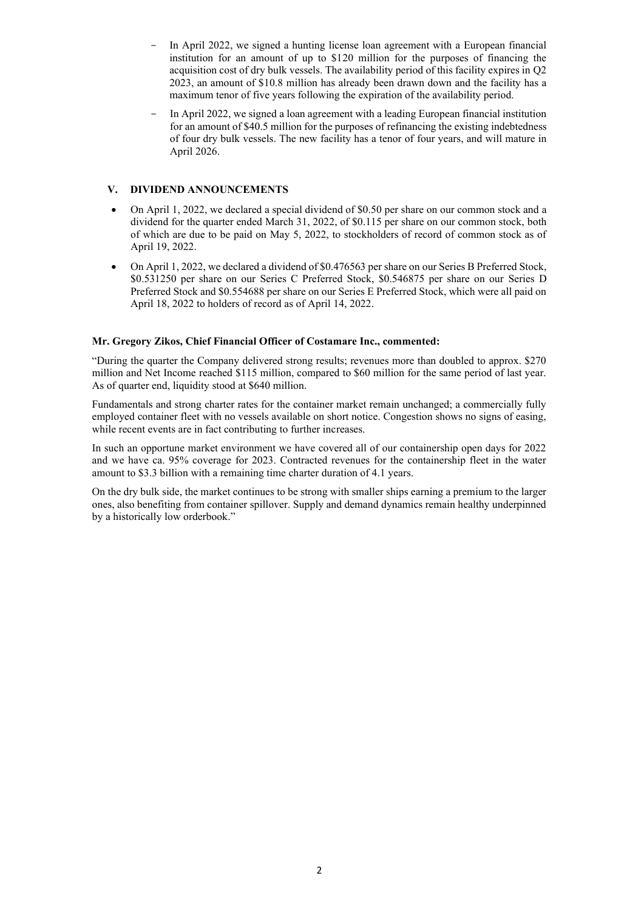- In April 2022, we signed a hunting license loan agreement with a European financial institution for an amount of up to \$120 million for the purposes of financing the acquisition cost of dry bulk vessels. The availability period of this facility expires in Q2 2023, an amount of \$10.8 million has already been drawn down and the facility has a maximum tenor of five years following the expiration of the availability period.
- In April 2022, we signed a loan agreement with a leading European financial institution for an amount of \$40.5 million for the purposes of refinancing the existing indebtedness of four dry bulk vessels. The new facility has a tenor of four years, and will mature in April 2026.

## **V. DIVIDEND ANNOUNCEMENTS**

- On April 1, 2022, we declared a special dividend of \$0.50 per share on our common stock and a dividend for the quarter ended March 31, 2022, of \$0.115 per share on our common stock, both of which are due to be paid on May 5, 2022, to stockholders of record of common stock as of April 19, 2022.
- On April 1, 2022, we declared a dividend of \$0.476563 per share on our Series B Preferred Stock, \$0.531250 per share on our Series C Preferred Stock, \$0.546875 per share on our Series D Preferred Stock and \$0.554688 per share on our Series E Preferred Stock, which were all paid on April 18, 2022 to holders of record as of April 14, 2022.

### **Mr. Gregory Zikos, Chief Financial Officer of Costamare Inc., commented:**

"During the quarter the Company delivered strong results; revenues more than doubled to approx. \$270 million and Net Income reached \$115 million, compared to \$60 million for the same period of last year. As of quarter end, liquidity stood at \$640 million.

Fundamentals and strong charter rates for the container market remain unchanged; a commercially fully employed container fleet with no vessels available on short notice. Congestion shows no signs of easing, while recent events are in fact contributing to further increases.

In such an opportune market environment we have covered all of our containership open days for 2022 and we have ca. 95% coverage for 2023. Contracted revenues for the containership fleet in the water amount to \$3.3 billion with a remaining time charter duration of 4.1 years.

On the dry bulk side, the market continues to be strong with smaller ships earning a premium to the larger ones, also benefiting from container spillover. Supply and demand dynamics remain healthy underpinned by a historically low orderbook."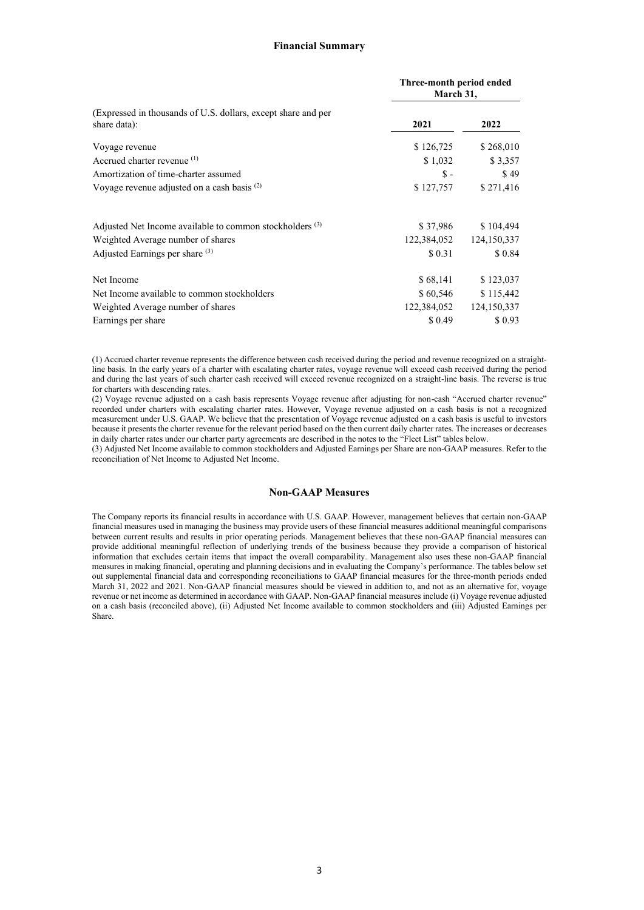#### **Financial Summary**

|                                                                               | Three-month period ended<br>March 31, |                 |  |
|-------------------------------------------------------------------------------|---------------------------------------|-----------------|--|
| (Expressed in thousands of U.S. dollars, except share and per<br>share data): | 2021                                  | 2022            |  |
| Voyage revenue                                                                | \$126,725                             | \$268,010       |  |
| Accrued charter revenue (1)                                                   | \$1,032<br>$\mathbb{S}$ -             | \$3,357<br>\$49 |  |
| Amortization of time-charter assumed                                          |                                       |                 |  |
| Voyage revenue adjusted on a cash basis $(2)$                                 | \$127,757                             | \$271,416       |  |
| Adjusted Net Income available to common stockholders (3)                      | \$37,986                              | \$104,494       |  |
| Weighted Average number of shares                                             | 122,384,052                           | 124,150,337     |  |
| Adjusted Earnings per share (3)                                               | \$ 0.31                               | \$0.84          |  |
| Net Income                                                                    | \$68,141                              | \$123,037       |  |
| Net Income available to common stockholders                                   | \$60,546                              | \$115,442       |  |
| Weighted Average number of shares                                             | 122,384,052                           | 124,150,337     |  |
| Earnings per share                                                            | \$ 0.49                               | \$0.93          |  |

(1) Accrued charter revenue represents the difference between cash received during the period and revenue recognized on a straightline basis. In the early years of a charter with escalating charter rates, voyage revenue will exceed cash received during the period and during the last years of such charter cash received will exceed revenue recognized on a straight-line basis. The reverse is true for charters with descending rates.

(2) Voyage revenue adjusted on a cash basis represents Voyage revenue after adjusting for non-cash "Accrued charter revenue" recorded under charters with escalating charter rates. However, Voyage revenue adjusted on a cash basis is not a recognized measurement under U.S. GAAP. We believe that the presentation of Voyage revenue adjusted on a cash basis is useful to investors because it presents the charter revenue for the relevant period based on the then current daily charter rates. The increases or decreases in daily charter rates under our charter party agreements are described in the notes to the "Fleet List" tables below.

(3) Adjusted Net Income available to common stockholders and Adjusted Earnings per Share are non-GAAP measures. Refer to the reconciliation of Net Income to Adjusted Net Income.

### **Non-GAAP Measures**

The Company reports its financial results in accordance with U.S. GAAP. However, management believes that certain non-GAAP financial measures used in managing the business may provide users of these financial measures additional meaningful comparisons between current results and results in prior operating periods. Management believes that these non-GAAP financial measures can provide additional meaningful reflection of underlying trends of the business because they provide a comparison of historical information that excludes certain items that impact the overall comparability. Management also uses these non-GAAP financial measures in making financial, operating and planning decisions and in evaluating the Company's performance. The tables below set out supplemental financial data and corresponding reconciliations to GAAP financial measures for the three-month periods ended March 31, 2022 and 2021. Non-GAAP financial measures should be viewed in addition to, and not as an alternative for, voyage revenue or net income as determined in accordance with GAAP. Non-GAAP financial measures include (i) Voyage revenue adjusted on a cash basis (reconciled above), (ii) Adjusted Net Income available to common stockholders and (iii) Adjusted Earnings per Share.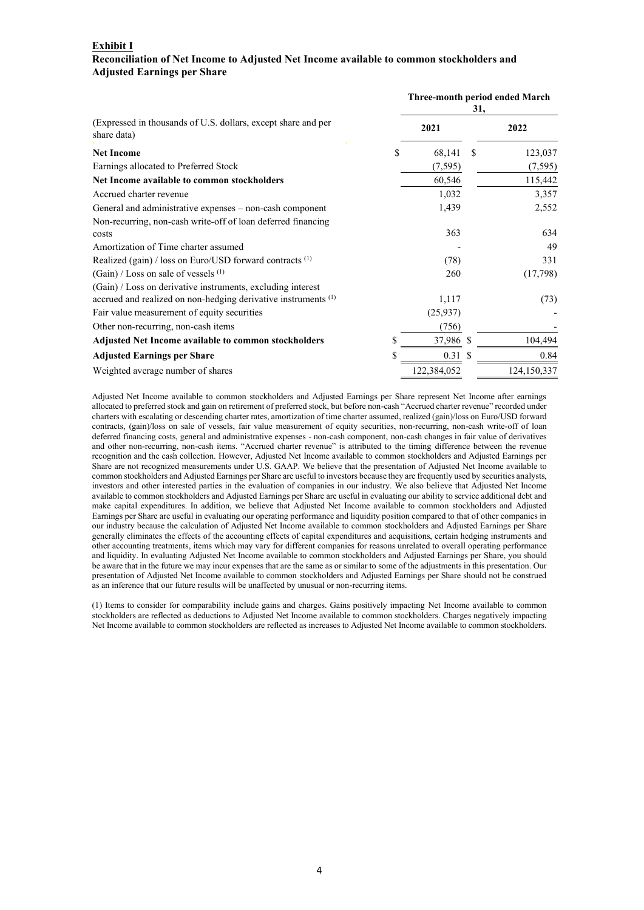## **Exhibit I Reconciliation of Net Income to Adjusted Net Income available to common stockholders and Adjusted Earnings per Share**

|                                                                              | Three-month period ended March<br>31, |   |             |  |
|------------------------------------------------------------------------------|---------------------------------------|---|-------------|--|
| (Expressed in thousands of U.S. dollars, except share and per<br>share data) | 2021                                  |   | 2022        |  |
| <b>Net Income</b><br>S                                                       | 68,141                                | S | 123,037     |  |
| Earnings allocated to Preferred Stock                                        | (7, 595)                              |   | (7, 595)    |  |
| Net Income available to common stockholders                                  | 60,546                                |   | 115,442     |  |
| Accrued charter revenue                                                      | 1,032                                 |   | 3,357       |  |
| General and administrative expenses - non-cash component                     | 1,439                                 |   | 2,552       |  |
| Non-recurring, non-cash write-off of loan deferred financing                 |                                       |   |             |  |
| costs                                                                        | 363                                   |   | 634         |  |
| Amortization of Time charter assumed                                         |                                       |   | 49          |  |
| Realized (gain) / loss on Euro/USD forward contracts $(1)$                   | (78)                                  |   | 331         |  |
| $(Gain)$ / Loss on sale of vessels $(1)$                                     | 260                                   |   | (17,798)    |  |
| (Gain) / Loss on derivative instruments, excluding interest                  |                                       |   |             |  |
| accrued and realized on non-hedging derivative instruments <sup>(1)</sup>    | 1,117                                 |   | (73)        |  |
| Fair value measurement of equity securities                                  | (25,937)                              |   |             |  |
| Other non-recurring, non-cash items                                          | (756)                                 |   |             |  |
| \$<br>Adjusted Net Income available to common stockholders                   | 37,986 \$                             |   | 104,494     |  |
| \$<br><b>Adjusted Earnings per Share</b>                                     | 0.31S                                 |   | 0.84        |  |
| Weighted average number of shares                                            | 122,384,052                           |   | 124,150,337 |  |

Adjusted Net Income available to common stockholders and Adjusted Earnings per Share represent Net Income after earnings allocated to preferred stock and gain on retirement of preferred stock, but before non-cash "Accrued charter revenue" recorded under charters with escalating or descending charter rates, amortization of time charter assumed, realized (gain)/loss on Euro/USD forward contracts, (gain)/loss on sale of vessels, fair value measurement of equity securities, non-recurring, non-cash write-off of loan deferred financing costs, general and administrative expenses - non-cash component, non-cash changes in fair value of derivatives and other non-recurring, non-cash items. "Accrued charter revenue" is attributed to the timing difference between the revenue recognition and the cash collection. However, Adjusted Net Income available to common stockholders and Adjusted Earnings per Share are not recognized measurements under U.S. GAAP. We believe that the presentation of Adjusted Net Income available to common stockholders and Adjusted Earnings per Share are useful to investors because they are frequently used by securities analysts, investors and other interested parties in the evaluation of companies in our industry. We also believe that Adjusted Net Income available to common stockholders and Adjusted Earnings per Share are useful in evaluating our ability to service additional debt and make capital expenditures. In addition, we believe that Adjusted Net Income available to common stockholders and Adjusted Earnings per Share are useful in evaluating our operating performance and liquidity position compared to that of other companies in our industry because the calculation of Adjusted Net Income available to common stockholders and Adjusted Earnings per Share generally eliminates the effects of the accounting effects of capital expenditures and acquisitions, certain hedging instruments and other accounting treatments, items which may vary for different companies for reasons unrelated to overall operating performance and liquidity. In evaluating Adjusted Net Income available to common stockholders and Adjusted Earnings per Share, you should be aware that in the future we may incur expenses that are the same as or similar to some of the adjustments in this presentation. Our presentation of Adjusted Net Income available to common stockholders and Adjusted Earnings per Share should not be construed as an inference that our future results will be unaffected by unusual or non-recurring items.

(1) Items to consider for comparability include gains and charges. Gains positively impacting Net Income available to common stockholders are reflected as deductions to Adjusted Net Income available to common stockholders. Charges negatively impacting Net Income available to common stockholders are reflected as increases to Adjusted Net Income available to common stockholders.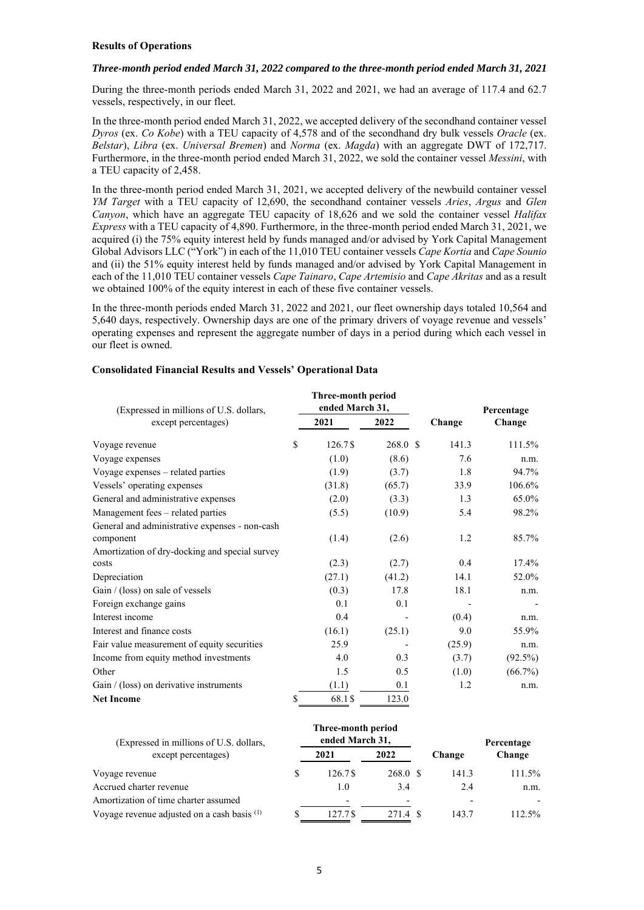#### **Results of Operations**

### *Three-month period ended March 31, 2022 compared to the three-month period ended March 31, 2021*

During the three-month periods ended March 31, 2022 and 2021, we had an average of 117.4 and 62.7 vessels, respectively, in our fleet.

In the three-month period ended March 31, 2022, we accepted delivery of the secondhand container vessel *Dyros* (ex. *Co Kobe*) with a TEU capacity of 4,578 and of the secondhand dry bulk vessels *Oracle* (ex. *Belstar*), *Libra* (ex. *Universal Bremen*) and *Norma* (ex. *Magda*) with an aggregate DWT of 172,717. Furthermore, in the three-month period ended March 31, 2022, we sold the container vessel *Messini*, with a TEU capacity of 2,458.

In the three-month period ended March 31, 2021, we accepted delivery of the newbuild container vessel *YM Target* with a TEU capacity of 12,690, the secondhand container vessels *Aries*, *Argus* and *Glen Canyon*, which have an aggregate TEU capacity of 18,626 and we sold the container vessel *Halifax Express* with a TEU capacity of 4,890. Furthermore, in the three-month period ended March 31, 2021, we acquired (i) the 75% equity interest held by funds managed and/or advised by York Capital Management Global Advisors LLC ("York") in each of the 11,010 TEU container vessels *Cape Kortia* and *Cape Sounio* and (ii) the 51% equity interest held by funds managed and/or advised by York Capital Management in each of the 11,010 TEU container vessels *Cape Tainaro*, *Cape Artemisio* and *Cape Akritas* and as a result we obtained 100% of the equity interest in each of these five container vessels.

In the three-month periods ended March 31, 2022 and 2021, our fleet ownership days totaled 10,564 and 5,640 days, respectively. Ownership days are one of the primary drivers of voyage revenue and vessels' operating expenses and represent the aggregate number of days in a period during which each vessel in our fleet is owned.

### **Consolidated Financial Results and Vessels' Operational Data**

| (Expressed in millions of U.S. dollars,        | Three-month period<br>ended March 31, |                    |        | Percentage |  |
|------------------------------------------------|---------------------------------------|--------------------|--------|------------|--|
| except percentages)                            | 2021                                  | 2022               | Change | Change     |  |
| Voyage revenue                                 | \$<br>126.7\$                         | 268.0 <sup>°</sup> | 141.3  | 111.5%     |  |
| Voyage expenses                                | (1.0)                                 | (8.6)              | 7.6    | n.m.       |  |
| Voyage expenses - related parties              | (1.9)                                 | (3.7)              | 1.8    | 94.7%      |  |
| Vessels' operating expenses                    | (31.8)                                | (65.7)             | 33.9   | 106.6%     |  |
| General and administrative expenses            | (2.0)                                 | (3.3)              | 1.3    | 65.0%      |  |
| Management fees - related parties              | (5.5)                                 | (10.9)             | 5.4    | 98.2%      |  |
| General and administrative expenses - non-cash |                                       |                    |        |            |  |
| component                                      | (1.4)                                 | (2.6)              | 1.2    | 85.7%      |  |
| Amortization of dry-docking and special survey |                                       |                    |        |            |  |
| costs                                          | (2.3)                                 | (2.7)              | 0.4    | $17.4\%$   |  |
| Depreciation                                   | (27.1)                                | (41.2)             | 14.1   | 52.0%      |  |
| Gain / (loss) on sale of vessels               | (0.3)                                 | 17.8               | 18.1   | n.m.       |  |
| Foreign exchange gains                         | 0.1                                   | 0.1                |        |            |  |
| Interest income                                | 0.4                                   |                    | (0.4)  | n.m.       |  |
| Interest and finance costs                     | (16.1)                                | (25.1)             | 9.0    | 55.9%      |  |
| Fair value measurement of equity securities    | 25.9                                  |                    | (25.9) | n.m.       |  |
| Income from equity method investments          | 4.0                                   | 0.3                | (3.7)  | $(92.5\%)$ |  |
| Other                                          | 1.5                                   | 0.5                | (1.0)  | $(66.7\%)$ |  |
| Gain / (loss) on derivative instruments        | (1.1)                                 | 0.1                | 1.2    | n.m.       |  |
| <b>Net Income</b>                              | \$<br>68.1\$                          | 123.0              |        |            |  |

| (Expressed in millions of U.S. dollars,       |   | Three-month period<br>ended March 31, |                          |        | Percentage |
|-----------------------------------------------|---|---------------------------------------|--------------------------|--------|------------|
| except percentages)                           |   | 2021                                  | 2022                     | Change | Change     |
| Voyage revenue                                | S | 126.7\$                               | 268.0 \$                 | 141.3  | 111.5%     |
| Accrued charter revenue                       |   | 1.0                                   | 3.4                      | 2.4    | n.m.       |
| Amortization of time charter assumed          |   | $\overline{\phantom{a}}$              | $\overline{\phantom{a}}$ |        |            |
| Voyage revenue adjusted on a cash basis $(1)$ |   | 127.7 \$                              | 271.4                    | 143.7  | 112.5%     |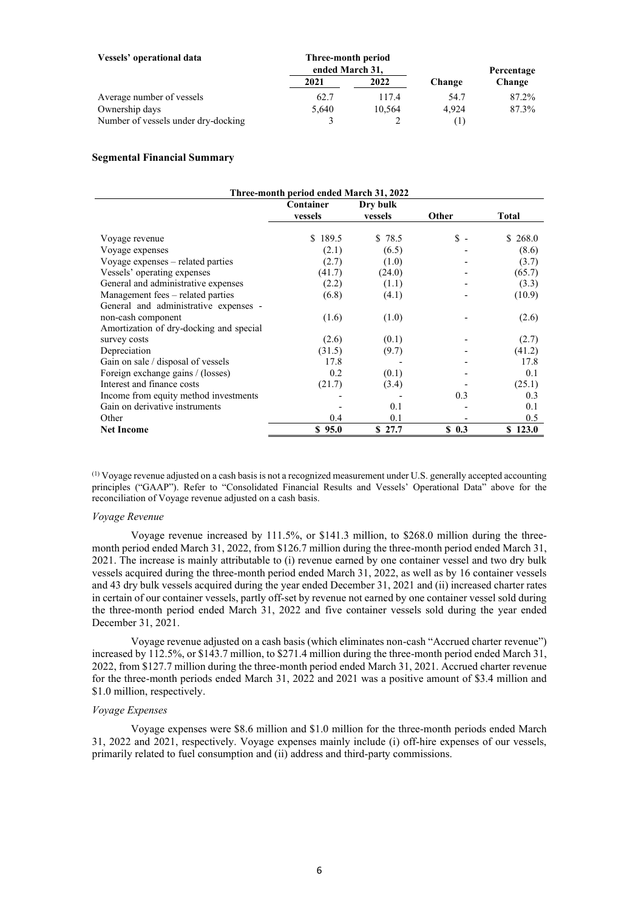| Vessels' operational data           | Three-month period<br>ended March 31, |        |        | Percentage |
|-------------------------------------|---------------------------------------|--------|--------|------------|
|                                     | 2021                                  | 2022   | Change | Change     |
| Average number of vessels           | 62.7                                  | 117.4  | 54.7   | 87.2%      |
| Ownership days                      | 5,640                                 | 10.564 | 4.924  | 87.3%      |
| Number of vessels under dry-docking |                                       |        | T      |            |

#### **Segmental Financial Summary**

| Three-month period ended March 31, 2022 |           |          |                |              |  |  |
|-----------------------------------------|-----------|----------|----------------|--------------|--|--|
|                                         | Container | Dry bulk |                |              |  |  |
|                                         | vessels   | vessels  | Other          | <b>Total</b> |  |  |
|                                         |           |          |                |              |  |  |
| Voyage revenue                          | \$189.5   | \$ 78.5  | $\mathbb{S}$ - | \$268.0      |  |  |
| Voyage expenses                         | (2.1)     | (6.5)    |                | (8.6)        |  |  |
| Voyage expenses – related parties       | (2.7)     | (1.0)    |                | (3.7)        |  |  |
| Vessels' operating expenses             | (41.7)    | (24.0)   |                | (65.7)       |  |  |
| General and administrative expenses     | (2.2)     | (1.1)    |                | (3.3)        |  |  |
| Management fees – related parties       | (6.8)     | (4.1)    |                | (10.9)       |  |  |
| General and administrative expenses -   |           |          |                |              |  |  |
| non-cash component                      | (1.6)     | (1.0)    |                | (2.6)        |  |  |
| Amortization of dry-docking and special |           |          |                |              |  |  |
| survey costs                            | (2.6)     | (0.1)    |                | (2.7)        |  |  |
| Depreciation                            | (31.5)    | (9.7)    |                | (41.2)       |  |  |
| Gain on sale / disposal of vessels      | 17.8      |          |                | 17.8         |  |  |
| Foreign exchange gains / (losses)       | 0.2       | (0.1)    |                | 0.1          |  |  |
| Interest and finance costs              | (21.7)    | (3.4)    |                | (25.1)       |  |  |
| Income from equity method investments   |           |          | 0.3            | 0.3          |  |  |
| Gain on derivative instruments          |           | 0.1      |                | 0.1          |  |  |
| Other                                   | 0.4       | 0.1      |                | 0.5          |  |  |
| <b>Net Income</b>                       | \$95.0    | \$27.7   | $S_0$ 0.3      | \$123.0      |  |  |

(1) Voyage revenue adjusted on a cash basis is not a recognized measurement under U.S. generally accepted accounting principles ("GAAP"). Refer to "Consolidated Financial Results and Vessels' Operational Data" above for the reconciliation of Voyage revenue adjusted on a cash basis.

#### *Voyage Revenue*

Voyage revenue increased by 111.5%, or \$141.3 million, to \$268.0 million during the threemonth period ended March 31, 2022, from \$126.7 million during the three-month period ended March 31, 2021. The increase is mainly attributable to (i) revenue earned by one container vessel and two dry bulk vessels acquired during the three-month period ended March 31, 2022, as well as by 16 container vessels and 43 dry bulk vessels acquired during the year ended December 31, 2021 and (ii) increased charter rates in certain of our container vessels, partly off-set by revenue not earned by one container vessel sold during the three-month period ended March 31, 2022 and five container vessels sold during the year ended December 31, 2021.

Voyage revenue adjusted on a cash basis (which eliminates non-cash "Accrued charter revenue") increased by 112.5%, or \$143.7 million, to \$271.4 million during the three-month period ended March 31, 2022, from \$127.7 million during the three-month period ended March 31, 2021. Accrued charter revenue for the three-month periods ended March 31, 2022 and 2021 was a positive amount of \$3.4 million and \$1.0 million, respectively.

## *Voyage Expenses*

Voyage expenses were \$8.6 million and \$1.0 million for the three-month periods ended March 31, 2022 and 2021, respectively. Voyage expenses mainly include (i) off-hire expenses of our vessels, primarily related to fuel consumption and (ii) address and third-party commissions.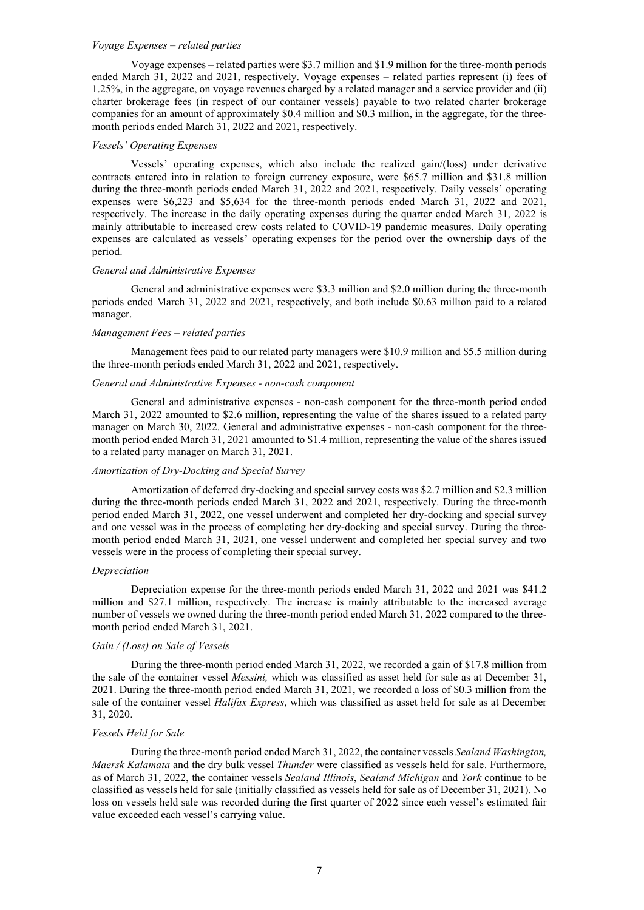### *Voyage Expenses – related parties*

Voyage expenses – related parties were \$3.7 million and \$1.9 million for the three-month periods ended March 31, 2022 and 2021, respectively. Voyage expenses – related parties represent (i) fees of 1.25%, in the aggregate, on voyage revenues charged by a related manager and a service provider and (ii) charter brokerage fees (in respect of our container vessels) payable to two related charter brokerage companies for an amount of approximately \$0.4 million and \$0.3 million, in the aggregate, for the threemonth periods ended March 31, 2022 and 2021, respectively.

#### *Vessels' Operating Expenses*

Vessels' operating expenses, which also include the realized gain/(loss) under derivative contracts entered into in relation to foreign currency exposure, were \$65.7 million and \$31.8 million during the three-month periods ended March 31, 2022 and 2021, respectively. Daily vessels' operating expenses were \$6,223 and \$5,634 for the three-month periods ended March 31, 2022 and 2021, respectively. The increase in the daily operating expenses during the quarter ended March 31, 2022 is mainly attributable to increased crew costs related to COVID-19 pandemic measures. Daily operating expenses are calculated as vessels' operating expenses for the period over the ownership days of the period.

#### *General and Administrative Expenses*

General and administrative expenses were \$3.3 million and \$2.0 million during the three-month periods ended March 31, 2022 and 2021, respectively, and both include \$0.63 million paid to a related manager.

#### *Management Fees – related parties*

Management fees paid to our related party managers were \$10.9 million and \$5.5 million during the three-month periods ended March 31, 2022 and 2021, respectively.

## *General and Administrative Expenses - non-cash component*

General and administrative expenses - non-cash component for the three-month period ended March 31, 2022 amounted to \$2.6 million, representing the value of the shares issued to a related party manager on March 30, 2022. General and administrative expenses - non-cash component for the threemonth period ended March 31, 2021 amounted to \$1.4 million, representing the value of the shares issued to a related party manager on March 31, 2021.

### *Amortization of Dry-Docking and Special Survey*

Amortization of deferred dry-docking and special survey costs was \$2.7 million and \$2.3 million during the three-month periods ended March 31, 2022 and 2021, respectively. During the three-month period ended March 31, 2022, one vessel underwent and completed her dry-docking and special survey and one vessel was in the process of completing her dry-docking and special survey. During the threemonth period ended March 31, 2021, one vessel underwent and completed her special survey and two vessels were in the process of completing their special survey.

#### *Depreciation*

Depreciation expense for the three-month periods ended March 31, 2022 and 2021 was \$41.2 million and \$27.1 million, respectively. The increase is mainly attributable to the increased average number of vessels we owned during the three-month period ended March 31, 2022 compared to the threemonth period ended March 31, 2021.

## *Gain / (Loss) on Sale of Vessels*

During the three-month period ended March 31, 2022, we recorded a gain of \$17.8 million from the sale of the container vessel *Messini,* which was classified as asset held for sale as at December 31, 2021. During the three-month period ended March 31, 2021, we recorded a loss of \$0.3 million from the sale of the container vessel *Halifax Express*, which was classified as asset held for sale as at December 31, 2020.

#### *Vessels Held for Sale*

During the three-month period ended March 31, 2022, the container vessels *Sealand Washington, Maersk Kalamata* and the dry bulk vessel *Thunder* were classified as vessels held for sale. Furthermore, as of March 31, 2022, the container vessels *Sealand Illinois*, *Sealand Michigan* and *York* continue to be classified as vessels held for sale (initially classified as vessels held for sale as of December 31, 2021). No loss on vessels held sale was recorded during the first quarter of 2022 since each vessel's estimated fair value exceeded each vessel's carrying value.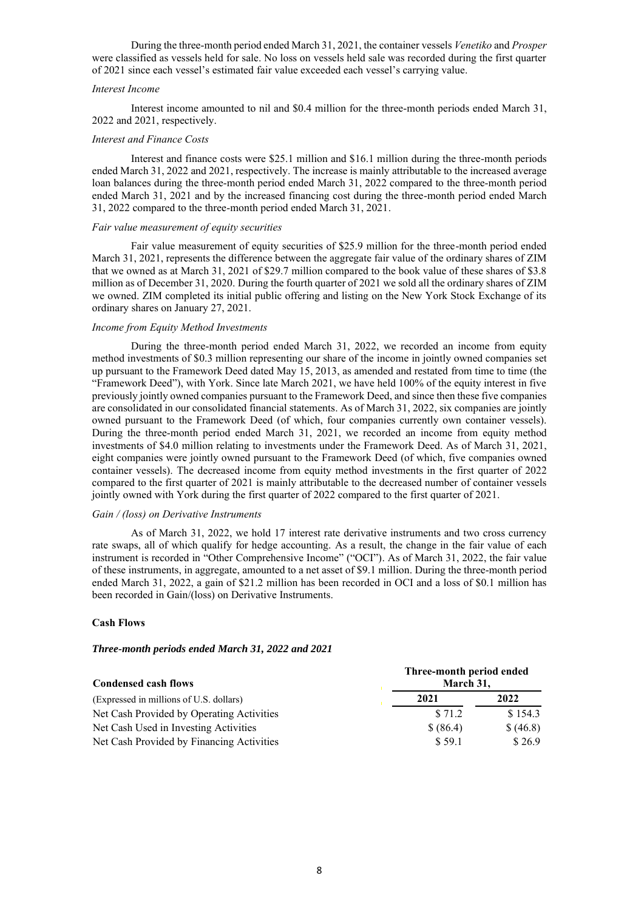During the three-month period ended March 31, 2021, the container vessels *Venetiko* and *Prosper* were classified as vessels held for sale. No loss on vessels held sale was recorded during the first quarter of 2021 since each vessel's estimated fair value exceeded each vessel's carrying value.

#### *Interest Income*

Interest income amounted to nil and \$0.4 million for the three-month periods ended March 31, 2022 and 2021, respectively.

### *Interest and Finance Costs*

Interest and finance costs were \$25.1 million and \$16.1 million during the three-month periods ended March 31, 2022 and 2021, respectively. The increase is mainly attributable to the increased average loan balances during the three-month period ended March 31, 2022 compared to the three-month period ended March 31, 2021 and by the increased financing cost during the three-month period ended March 31, 2022 compared to the three-month period ended March 31, 2021.

#### *Fair value measurement of equity securities*

Fair value measurement of equity securities of \$25.9 million for the three-month period ended March 31, 2021, represents the difference between the aggregate fair value of the ordinary shares of ZIM that we owned as at March 31, 2021 of \$29.7 million compared to the book value of these shares of \$3.8 million as of December 31, 2020. During the fourth quarter of 2021 we sold all the ordinary shares of ZIM we owned. ZIM completed its initial public offering and listing on the New York Stock Exchange of its ordinary shares on January 27, 2021.

#### *Income from Equity Method Investments*

During the three-month period ended March 31, 2022, we recorded an income from equity method investments of \$0.3 million representing our share of the income in jointly owned companies set up pursuant to the Framework Deed dated May 15, 2013, as amended and restated from time to time (the "Framework Deed"), with York. Since late March 2021, we have held 100% of the equity interest in five previously jointly owned companies pursuant to the Framework Deed, and since then these five companies are consolidated in our consolidated financial statements. As of March 31, 2022, six companies are jointly owned pursuant to the Framework Deed (of which, four companies currently own container vessels). During the three-month period ended March 31, 2021, we recorded an income from equity method investments of \$4.0 million relating to investments under the Framework Deed. As of March 31, 2021, eight companies were jointly owned pursuant to the Framework Deed (of which, five companies owned container vessels). The decreased income from equity method investments in the first quarter of 2022 compared to the first quarter of 2021 is mainly attributable to the decreased number of container vessels jointly owned with York during the first quarter of 2022 compared to the first quarter of 2021.

### *Gain / (loss) on Derivative Instruments*

As of March 31, 2022, we hold 17 interest rate derivative instruments and two cross currency rate swaps, all of which qualify for hedge accounting. As a result, the change in the fair value of each instrument is recorded in "Other Comprehensive Income" ("OCI"). As of March 31, 2022, the fair value of these instruments, in aggregate, amounted to a net asset of \$9.1 million. During the three-month period ended March 31, 2022, a gain of \$21.2 million has been recorded in OCI and a loss of \$0.1 million has been recorded in Gain/(loss) on Derivative Instruments.

### **Cash Flows**

#### *Three-month periods ended March 31, 2022 and 2021*

| <b>Condensed cash flows</b>               | Three-month period ended<br>March 31, |          |
|-------------------------------------------|---------------------------------------|----------|
| (Expressed in millions of U.S. dollars)   | 2021                                  | 2022     |
| Net Cash Provided by Operating Activities | \$71.2                                | \$154.3  |
| Net Cash Used in Investing Activities     | \$ (86.4)                             | \$(46.8) |
| Net Cash Provided by Financing Activities | \$59.1                                | \$26.9   |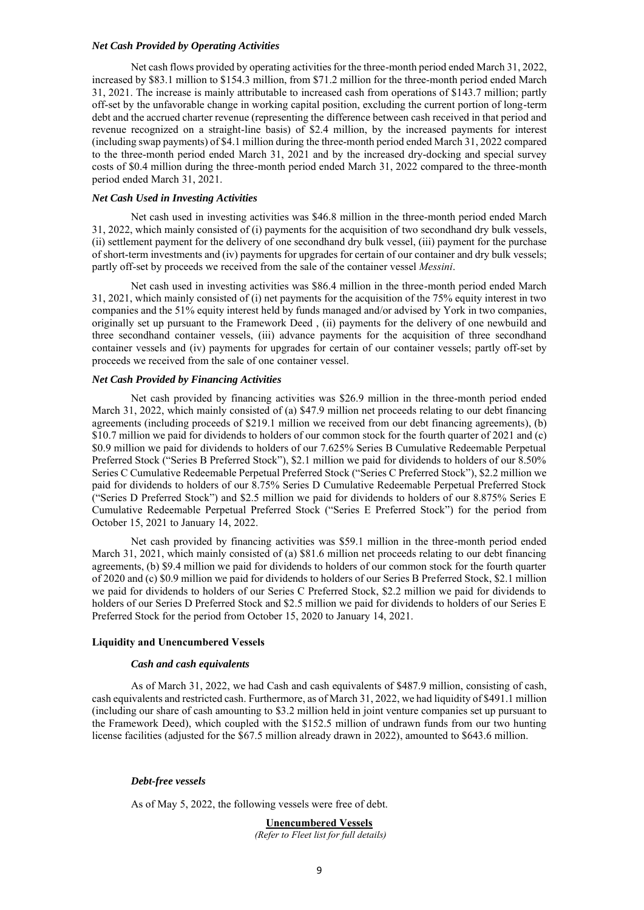#### *Net Cash Provided by Operating Activities*

Net cash flows provided by operating activities for the three-month period ended March 31, 2022, increased by \$83.1 million to \$154.3 million, from \$71.2 million for the three-month period ended March 31, 2021. The increase is mainly attributable to increased cash from operations of \$143.7 million; partly off-set by the unfavorable change in working capital position, excluding the current portion of long-term debt and the accrued charter revenue (representing the difference between cash received in that period and revenue recognized on a straight-line basis) of \$2.4 million, by the increased payments for interest (including swap payments) of \$4.1 million during the three-month period ended March 31, 2022 compared to the three-month period ended March 31, 2021 and by the increased dry-docking and special survey costs of \$0.4 million during the three-month period ended March 31, 2022 compared to the three-month period ended March 31, 2021.

### *Net Cash Used in Investing Activities*

Net cash used in investing activities was \$46.8 million in the three-month period ended March 31, 2022, which mainly consisted of (i) payments for the acquisition of two secondhand dry bulk vessels, (ii) settlement payment for the delivery of one secondhand dry bulk vessel, (iii) payment for the purchase of short-term investments and (iv) payments for upgrades for certain of our container and dry bulk vessels; partly off-set by proceeds we received from the sale of the container vessel *Messini*.

Net cash used in investing activities was \$86.4 million in the three-month period ended March 31, 2021, which mainly consisted of (i) net payments for the acquisition of the 75% equity interest in two companies and the 51% equity interest held by funds managed and/or advised by York in two companies, originally set up pursuant to the Framework Deed , (ii) payments for the delivery of one newbuild and three secondhand container vessels, (iii) advance payments for the acquisition of three secondhand container vessels and (iv) payments for upgrades for certain of our container vessels; partly off-set by proceeds we received from the sale of one container vessel.

#### *Net Cash Provided by Financing Activities*

Net cash provided by financing activities was \$26.9 million in the three-month period ended March 31, 2022, which mainly consisted of (a) \$47.9 million net proceeds relating to our debt financing agreements (including proceeds of \$219.1 million we received from our debt financing agreements), (b) \$10.7 million we paid for dividends to holders of our common stock for the fourth quarter of 2021 and (c) \$0.9 million we paid for dividends to holders of our 7.625% Series B Cumulative Redeemable Perpetual Preferred Stock ("Series B Preferred Stock"), \$2.1 million we paid for dividends to holders of our 8.50% Series C Cumulative Redeemable Perpetual Preferred Stock ("Series C Preferred Stock"), \$2.2 million we paid for dividends to holders of our 8.75% Series D Cumulative Redeemable Perpetual Preferred Stock ("Series D Preferred Stock") and \$2.5 million we paid for dividends to holders of our 8.875% Series E Cumulative Redeemable Perpetual Preferred Stock ("Series E Preferred Stock") for the period from October 15, 2021 to January 14, 2022.

Net cash provided by financing activities was \$59.1 million in the three-month period ended March 31, 2021, which mainly consisted of (a) \$81.6 million net proceeds relating to our debt financing agreements, (b) \$9.4 million we paid for dividends to holders of our common stock for the fourth quarter of 2020 and (c) \$0.9 million we paid for dividends to holders of our Series B Preferred Stock, \$2.1 million we paid for dividends to holders of our Series C Preferred Stock, \$2.2 million we paid for dividends to holders of our Series D Preferred Stock and \$2.5 million we paid for dividends to holders of our Series E Preferred Stock for the period from October 15, 2020 to January 14, 2021.

#### **Liquidity and Unencumbered Vessels**

#### *Cash and cash equivalents*

As of March 31, 2022, we had Cash and cash equivalents of \$487.9 million, consisting of cash, cash equivalents and restricted cash. Furthermore, as of March 31, 2022, we had liquidity of \$491.1 million (including our share of cash amounting to \$3.2 million held in joint venture companies set up pursuant to the Framework Deed), which coupled with the \$152.5 million of undrawn funds from our two hunting license facilities (adjusted for the \$67.5 million already drawn in 2022), amounted to \$643.6 million.

#### *Debt-free vessels*

As of May 5, 2022, the following vessels were free of debt.

## **Unencumbered Vessels**

*(Refer to Fleet list for full details)*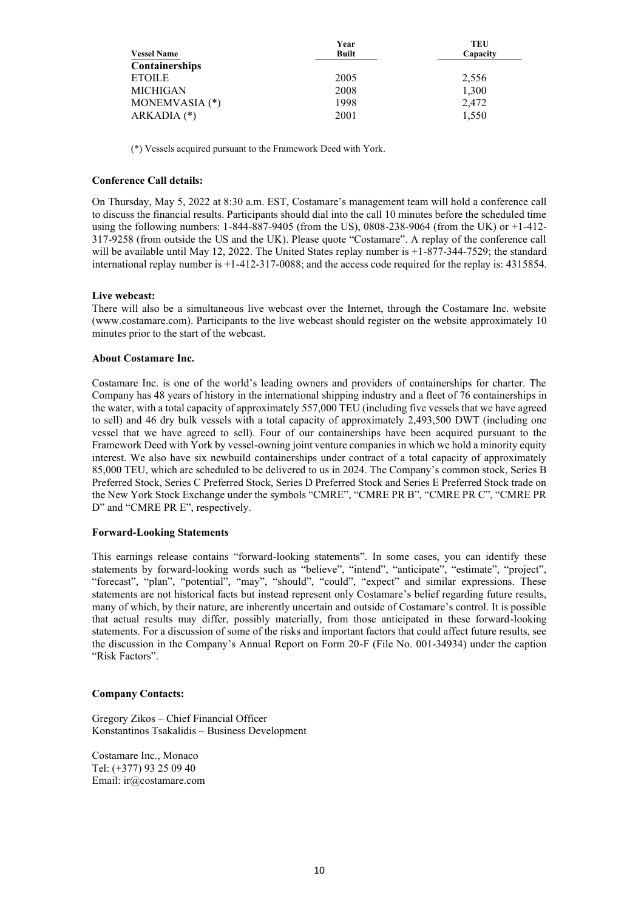|                    | Year         | TEU      |
|--------------------|--------------|----------|
| <b>Vessel Name</b> | <b>Built</b> | Capacity |
| Containerships     |              |          |
| <b>ETOILE</b>      | 2005         | 2,556    |
| <b>MICHIGAN</b>    | 2008         | 1,300    |
| MONEMVASIA (*)     | 1998         | 2.472    |
| $ARKADIA$ (*)      | 2001         | 1.550    |

(\*) Vessels acquired pursuant to the Framework Deed with York.

### **Conference Call details:**

On Thursday, May 5, 2022 at 8:30 a.m. EST, Costamare's management team will hold a conference call to discuss the financial results. Participants should dial into the call 10 minutes before the scheduled time using the following numbers: 1-844-887-9405 (from the US), 0808-238-9064 (from the UK) or +1-412- 317-9258 (from outside the US and the UK). Please quote "Costamare". A replay of the conference call will be available until May 12, 2022. The United States replay number is +1-877-344-7529; the standard international replay number is +1-412-317-0088; and the access code required for the replay is: 4315854.

### **Live webcast:**

There will also be a simultaneous live webcast over the Internet, through the Costamare Inc. website (www.costamare.com). Participants to the live webcast should register on the website approximately 10 minutes prior to the start of the webcast.

### **About Costamare Inc.**

Costamare Inc. is one of the world's leading owners and providers of containerships for charter. The Company has 48 years of history in the international shipping industry and a fleet of 76 containerships in the water, with a total capacity of approximately 557,000 TEU (including five vessels that we have agreed to sell) and 46 dry bulk vessels with a total capacity of approximately 2,493,500 DWT (including one vessel that we have agreed to sell). Four of our containerships have been acquired pursuant to the Framework Deed with York by vessel-owning joint venture companies in which we hold a minority equity interest. We also have six newbuild containerships under contract of a total capacity of approximately 85,000 TEU, which are scheduled to be delivered to us in 2024. The Company's common stock, Series B Preferred Stock, Series C Preferred Stock, Series D Preferred Stock and Series E Preferred Stock trade on the New York Stock Exchange under the symbols "CMRE", "CMRE PR B", "CMRE PR C", "CMRE PR D" and "CMRE PR E", respectively.

#### **Forward-Looking Statements**

This earnings release contains "forward-looking statements". In some cases, you can identify these statements by forward-looking words such as "believe", "intend", "anticipate", "estimate", "project", "forecast", "plan", "potential", "may", "should", "could", "expect" and similar expressions. These statements are not historical facts but instead represent only Costamare's belief regarding future results, many of which, by their nature, are inherently uncertain and outside of Costamare's control. It is possible that actual results may differ, possibly materially, from those anticipated in these forward-looking statements. For a discussion of some of the risks and important factors that could affect future results, see the discussion in the Company's Annual Report on Form 20-F (File No. 001-34934) under the caption "Risk Factors".

#### **Company Contacts:**

Gregory Zikos – Chief Financial Officer Konstantinos Tsakalidis – Business Development

Costamare Inc., Monaco Tel: (+377) 93 25 09 40 Email: ir@costamare.com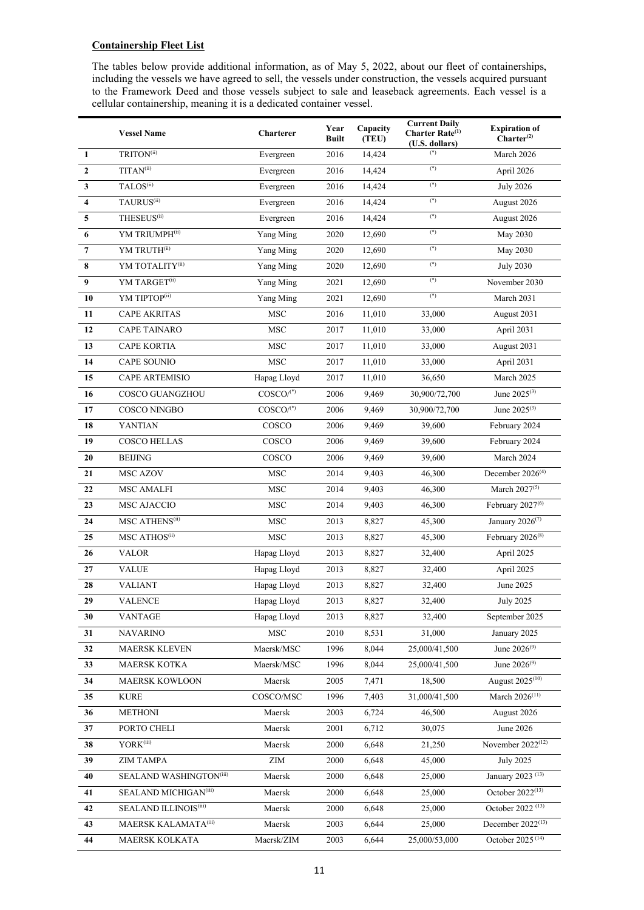# **Containership Fleet List**

The tables below provide additional information, as of May 5, 2022, about our fleet of containerships, including the vessels we have agreed to sell, the vessels under construction, the vessels acquired pursuant to the Framework Deed and those vessels subject to sale and leaseback agreements. Each vessel is a cellular containership, meaning it is a dedicated container vessel.

|                         | <b>Vessel Name</b>           | Charterer               | Year<br><b>Built</b> | Capacity<br>(TEU) | <b>Current Daily</b><br>Charter Rate <sup>(1)</sup><br>(U.S. dollars) | <b>Expiration of</b><br>Charter <sup>(2)</sup> |
|-------------------------|------------------------------|-------------------------|----------------------|-------------------|-----------------------------------------------------------------------|------------------------------------------------|
| $\mathbf{1}$            | TRITON <sup>(ii)</sup>       | Evergreen               | 2016                 | 14,424            | $(*)$                                                                 | March 2026                                     |
| $\mathbf{2}$            | TITAN <sup>(ii)</sup>        | Evergreen               | 2016                 | 14,424            | $(\mathbf{^*})$                                                       | April 2026                                     |
| $\mathbf{3}$            | TALOS <sup>(ii)</sup>        | Evergreen               | 2016                 | 14,424            | $(*)$                                                                 | <b>July 2026</b>                               |
| $\overline{\mathbf{4}}$ | TAURUS <sup>(ii)</sup>       | Evergreen               | 2016                 | 14,424            | $(*)$                                                                 | August 2026                                    |
| 5                       | THESEUS <sup>(ii)</sup>      | Evergreen               | 2016                 | 14,424            | $(*)$                                                                 | August 2026                                    |
| 6                       | YM TRIUMPH <sup>(ii)</sup>   | Yang Ming               | 2020                 | 12,690            | $(\spadesuit)$                                                        | May 2030                                       |
| $\boldsymbol{7}$        | YM TRUTH <sup>(ii)</sup>     | Yang Ming               | 2020                 | 12,690            | $(*)$                                                                 | <b>May 2030</b>                                |
| 8                       | YM TOTALITY(ii)              | Yang Ming               | 2020                 | 12,690            | $(*)$                                                                 | <b>July 2030</b>                               |
| $\boldsymbol{9}$        | YM TARGET <sup>(ii)</sup>    | Yang Ming               | 2021                 | 12,690            | $(*)$                                                                 | November 2030                                  |
| 10                      | YM TIPTOP <sup>(ii)</sup>    | Yang Ming               | 2021                 | 12,690            | $(*)$                                                                 | March 2031                                     |
| 11                      | <b>CAPE AKRITAS</b>          | <b>MSC</b>              | 2016                 | 11,010            | 33,000                                                                | August 2031                                    |
| 12                      | <b>CAPE TAINARO</b>          | <b>MSC</b>              | 2017                 | 11,010            | 33,000                                                                | April 2031                                     |
| 13                      | <b>CAPE KORTIA</b>           | <b>MSC</b>              | 2017                 | 11,010            | 33,000                                                                | August 2031                                    |
| 14                      | <b>CAPE SOUNIO</b>           | <b>MSC</b>              | 2017                 | 11,010            | 33,000                                                                | April 2031                                     |
| 15                      | CAPE ARTEMISIO               | Hapag Lloyd             | 2017                 | 11,010            | 36,650                                                                | March 2025                                     |
| 16                      | <b>COSCO GUANGZHOU</b>       | $COSCO(*)$              | 2006                 | 9,469             | 30,900/72,700                                                         | June $2025^{(3)}$                              |
| 17                      | <b>COSCO NINGBO</b>          | $COSCO/$ <sup>(*)</sup> | 2006                 | 9,469             | 30,900/72,700                                                         | June 2025 <sup>(3)</sup>                       |
| 18                      | <b>YANTIAN</b>               | COSCO                   | 2006                 | 9,469             | 39,600                                                                | February 2024                                  |
| 19                      | <b>COSCO HELLAS</b>          | COSCO                   | 2006                 | 9,469             | 39,600                                                                | February 2024                                  |
| 20                      | <b>BEIJING</b>               | COSCO                   | 2006                 | 9,469             | 39,600                                                                | March 2024                                     |
| 21                      | MSC AZOV                     | $_{\rm MSC}$            | 2014                 | 9,403             | 46,300                                                                | December 2026 <sup>(4)</sup>                   |
| 22                      | <b>MSC AMALFI</b>            | <b>MSC</b>              | 2014                 | 9,403             | 46,300                                                                | March 2027 <sup>(5)</sup>                      |
| 23                      | MSC AJACCIO                  | <b>MSC</b>              | 2014                 | 9,403             | 46,300                                                                | February 2027 <sup>(6)</sup>                   |
| 24                      | MSC ATHENS <sup>(ii)</sup>   | <b>MSC</b>              | 2013                 | 8,827             | 45,300                                                                | January 2026 <sup>(7)</sup>                    |
| 25                      | MSC ATHOS <sup>(ii)</sup>    | <b>MSC</b>              | 2013                 | 8,827             | 45,300                                                                | February 2026 <sup>(8)</sup>                   |
| 26                      | <b>VALOR</b>                 | Hapag Lloyd             | 2013                 | 8,827             | 32,400                                                                | April 2025                                     |
| 27                      | <b>VALUE</b>                 | Hapag Lloyd             | 2013                 | 8,827             | 32,400                                                                | April 2025                                     |
| 28                      | <b>VALIANT</b>               | Hapag Lloyd             | 2013                 | 8,827             | 32,400                                                                | June 2025                                      |
| 29                      | <b>VALENCE</b>               | Hapag Lloyd             | 2013                 | 8,827             | 32,400                                                                | <b>July 2025</b>                               |
| 30                      | <b>VANTAGE</b>               | Hapag Lloyd             | 2013                 | 8,827             | 32,400                                                                | September 2025                                 |
| 31                      | <b>NAVARINO</b>              | <b>MSC</b>              | 2010                 | 8,531             | 31,000                                                                | January 2025                                   |
| 32                      | <b>MAERSK KLEVEN</b>         | Maersk/MSC              | 1996                 | 8,044             | 25,000/41,500                                                         | June 2026 <sup>(9)</sup>                       |
| 33                      | <b>MAERSK KOTKA</b>          | Maersk/MSC              | 1996                 | 8,044             | 25,000/41,500                                                         | June 2026 <sup>(9)</sup>                       |
| 34                      | <b>MAERSK KOWLOON</b>        | Maersk                  | 2005                 | 7,471             | 18,500                                                                | August 2025 <sup>(10)</sup>                    |
| 35                      | <b>KURE</b>                  | COSCO/MSC               | 1996                 | 7,403             | 31,000/41,500                                                         | March $2026^{(11)}$                            |
| 36                      | <b>METHONI</b>               | Maersk                  | 2003                 | 6,724             | 46,500                                                                | August 2026                                    |
| 37                      | PORTO CHELI                  | Maersk                  | 2001                 | 6,712             | 30,075                                                                | June 2026                                      |
| 38                      | YORK(iii)                    | Maersk                  | 2000                 | 6,648             | 21,250                                                                | November 2022 <sup>(12)</sup>                  |
| 39                      | <b>ZIM TAMPA</b>             | ZIM                     | 2000                 | 6,648             | 45,000                                                                | <b>July 2025</b>                               |
| 40                      | SEALAND WASHINGTON(iii)      | Maersk                  | 2000                 | 6,648             | 25,000                                                                | January 2023 <sup>(13)</sup>                   |
| 41                      | SEALAND MICHIGAN(iii)        | Maersk                  | 2000                 | 6,648             | 25,000                                                                | October $2022^{(13)}$                          |
| 42                      | <b>SEALAND ILLINOIS(iii)</b> | Maersk                  | 2000                 | 6,648             | 25,000                                                                | October 2022 <sup>(13)</sup>                   |
| 43                      | MAERSK KALAMATA(iii)         | Maersk                  | 2003                 | 6,644             | 25,000                                                                | December 2022 <sup>(13)</sup>                  |
| 44                      | MAERSK KOLKATA               | Maersk/ZIM              | 2003                 | 6,644             | 25,000/53,000                                                         | October 2025 <sup>(14)</sup>                   |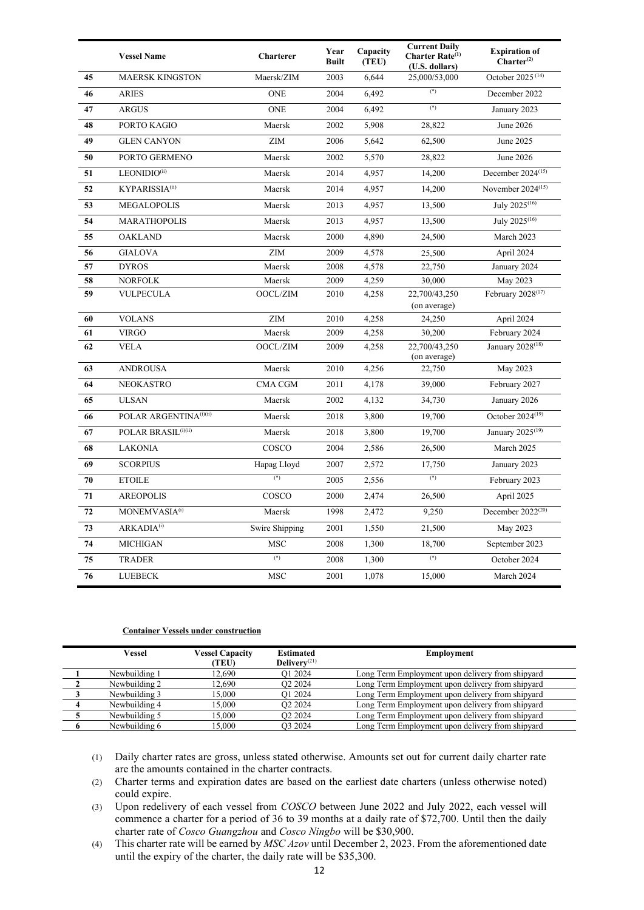|    | <b>Vessel Name</b>                 | <b>Charterer</b> | Year<br><b>Built</b> | Capacity<br>(TEU) | <b>Current Daily</b><br>Charter Rate <sup>(1)</sup><br>(U.S. dollars) | <b>Expiration of</b><br>Charter <sup>(2)</sup> |
|----|------------------------------------|------------------|----------------------|-------------------|-----------------------------------------------------------------------|------------------------------------------------|
| 45 | <b>MAERSK KINGSTON</b>             | Maersk/ZIM       | 2003                 | 6,644             | 25,000/53,000                                                         | October 2025 <sup>(14)</sup>                   |
| 46 | <b>ARIES</b>                       | <b>ONE</b>       | 2004                 | 6,492             | $(*)$                                                                 | December 2022                                  |
| 47 | <b>ARGUS</b>                       | <b>ONE</b>       | 2004                 | 6,492             | $(*)$                                                                 | January 2023                                   |
| 48 | PORTO KAGIO                        | Maersk           | 2002                 | 5,908             | 28,822                                                                | June 2026                                      |
| 49 | <b>GLEN CANYON</b>                 | <b>ZIM</b>       | 2006                 | 5,642             | 62,500                                                                | June 2025                                      |
| 50 | PORTO GERMENO                      | Maersk           | 2002                 | 5,570             | 28,822                                                                | June 2026                                      |
| 51 | LEONIDIO(ii)                       | Maersk           | 2014                 | 4,957             | 14,200                                                                | December $2024^{(15)}$                         |
| 52 | KYPARISSIA(ii)                     | Maersk           | 2014                 | 4,957             | 14,200                                                                | November 2024 <sup>(15)</sup>                  |
| 53 | <b>MEGALOPOLIS</b>                 | Maersk           | 2013                 | 4,957             | 13,500                                                                | July 2025 <sup>(16)</sup>                      |
| 54 | <b>MARATHOPOLIS</b>                | Maersk           | 2013                 | 4,957             | 13,500                                                                | July 2025 <sup>(16)</sup>                      |
| 55 | <b>OAKLAND</b>                     | Maersk           | 2000                 | 4,890             | 24,500                                                                | March 2023                                     |
| 56 | <b>GIALOVA</b>                     | <b>ZIM</b>       | 2009                 | 4,578             | 25,500                                                                | April 2024                                     |
| 57 | <b>DYROS</b>                       | Maersk           | 2008                 | 4,578             | 22,750                                                                | January 2024                                   |
| 58 | <b>NORFOLK</b>                     | Maersk           | 2009                 | 4,259             | 30,000                                                                | May 2023                                       |
| 59 | <b>VULPECULA</b>                   | OOCL/ZIM         | 2010                 | 4,258             | 22,700/43,250<br>(on average)                                         | February 2028 <sup>(17)</sup>                  |
| 60 | <b>VOLANS</b>                      | ZIM              | 2010                 | 4,258             | 24,250                                                                | April 2024                                     |
| 61 | <b>VIRGO</b>                       | Maersk           | 2009                 | 4,258             | 30,200                                                                | February 2024                                  |
| 62 | <b>VELA</b>                        | OOCL/ZIM         | 2009                 | 4,258             | 22,700/43,250<br>(on average)                                         | January 2028 <sup>(18)</sup>                   |
| 63 | <b>ANDROUSA</b>                    | Maersk           | 2010                 | 4.256             | 22,750                                                                | May 2023                                       |
| 64 | <b>NEOKASTRO</b>                   | <b>CMA CGM</b>   | 2011                 | 4,178             | 39,000                                                                | February 2027                                  |
| 65 | <b>ULSAN</b>                       | Maersk           | 2002                 | 4,132             | 34,730                                                                | January 2026                                   |
| 66 | POLAR ARGENTINA <sup>(i)(ii)</sup> | Maersk           | 2018                 | 3,800             | 19.700                                                                | October 2024 <sup>(19)</sup>                   |
| 67 | POLAR BRASIL <sup>(i)(ii)</sup>    | Maersk           | 2018                 | 3,800             | 19,700                                                                | January 2025 <sup>(19)</sup>                   |
| 68 | <b>LAKONIA</b>                     | COSCO            | 2004                 | 2,586             | 26,500                                                                | March 2025                                     |
| 69 | <b>SCORPIUS</b>                    | Hapag Lloyd      | 2007                 | 2,572             | 17,750                                                                | January 2023                                   |
| 70 | <b>ETOILE</b>                      | $(*)$            | 2005                 | 2,556             | $(*)$                                                                 | February 2023                                  |
| 71 | <b>AREOPOLIS</b>                   | COSCO            | 2000                 | 2,474             | 26,500                                                                | April 2025                                     |
| 72 | MONEMVASIA <sup>(i)</sup>          | Maersk           | 1998                 | 2,472             | 9,250                                                                 | December $2022^{(20)}$                         |
| 73 | ARKADIA <sup>(i)</sup>             | Swire Shipping   | 2001                 | 1,550             | 21,500                                                                | May 2023                                       |
| 74 | <b>MICHIGAN</b>                    | <b>MSC</b>       | 2008                 | 1,300             | 18,700                                                                | September 2023                                 |
| 75 | <b>TRADER</b>                      | $(*)$            | 2008                 | 1,300             | $(*)$                                                                 | October 2024                                   |
| 76 | <b>LUEBECK</b>                     | <b>MSC</b>       | 2001                 | 1,078             | 15,000                                                                | March 2024                                     |

### **Container Vessels under construction**

| Vessel        | <b>Vessel Capacity</b><br>(TEU) | <b>Estimated</b><br>Delivery <sup><math>(21)</math></sup> | <b>Employment</b>                                |
|---------------|---------------------------------|-----------------------------------------------------------|--------------------------------------------------|
| Newbuilding 1 | 12.690                          | O1 2024                                                   | Long Term Employment upon delivery from shipyard |
| Newbuilding 2 | 12.690                          | O <sub>2</sub> 2024                                       | Long Term Employment upon delivery from shipyard |
| Newbuilding 3 | 15.000                          | O1 2024                                                   | Long Term Employment upon delivery from shipyard |
| Newbuilding 4 | 15.000                          | O <sub>2</sub> 2024                                       | Long Term Employment upon delivery from shipyard |
| Newbuilding 5 | 15.000                          | O <sub>2</sub> 2024                                       | Long Term Employment upon delivery from shipyard |
| Newbuilding 6 | 15.000                          | O3 2024                                                   | Long Term Employment upon delivery from shipyard |

(1) Daily charter rates are gross, unless stated otherwise. Amounts set out for current daily charter rate are the amounts contained in the charter contracts.

(2) Charter terms and expiration dates are based on the earliest date charters (unless otherwise noted) could expire.

(3) Upon redelivery of each vessel from *COSCO* between June 2022 and July 2022, each vessel will commence a charter for a period of 36 to 39 months at a daily rate of \$72,700. Until then the daily charter rate of *Cosco Guangzhou* and *Cosco Ningbo* will be \$30,900.

(4) This charter rate will be earned by *MSC Azov* until December 2, 2023. From the aforementioned date until the expiry of the charter, the daily rate will be \$35,300.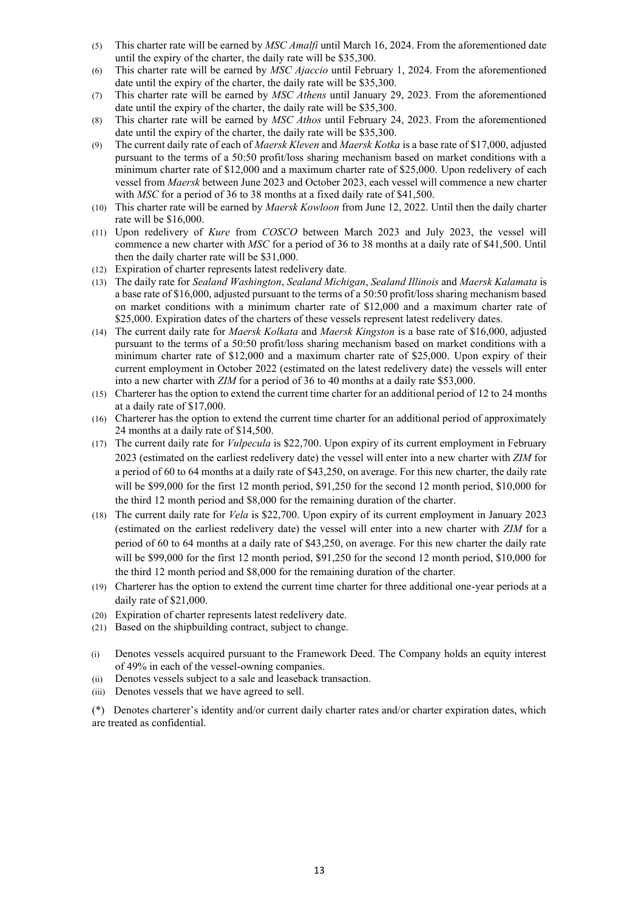- (5) This charter rate will be earned by *MSC Amalfi* until March 16, 2024. From the aforementioned date until the expiry of the charter, the daily rate will be \$35,300.
- (6) This charter rate will be earned by *MSC Ajaccio* until February 1, 2024. From the aforementioned date until the expiry of the charter, the daily rate will be \$35,300.
- (7) This charter rate will be earned by *MSC Athens* until January 29, 2023. From the aforementioned date until the expiry of the charter, the daily rate will be \$35,300.
- (8) This charter rate will be earned by *MSC Athos* until February 24, 2023. From the aforementioned date until the expiry of the charter, the daily rate will be \$35,300.
- (9) The current daily rate of each of *Maersk Kleven* and *Maersk Kotka* is a base rate of \$17,000, adjusted pursuant to the terms of a 50:50 profit/loss sharing mechanism based on market conditions with a minimum charter rate of \$12,000 and a maximum charter rate of \$25,000. Upon redelivery of each vessel from *Maersk* between June 2023 and October 2023, each vessel will commence a new charter with *MSC* for a period of 36 to 38 months at a fixed daily rate of \$41,500.
- (10) This charter rate will be earned by *Maersk Kowloon* from June 12, 2022. Until then the daily charter rate will be \$16,000.
- (11) Upon redelivery of *Kure* from *COSCO* between March 2023 and July 2023, the vessel will commence a new charter with *MSC* for a period of 36 to 38 months at a daily rate of \$41,500. Until then the daily charter rate will be \$31,000.
- (12) Expiration of charter represents latest redelivery date.
- (13) The daily rate for *Sealand Washington*, *Sealand Michigan*, *Sealand Illinois* and *Maersk Kalamata* is a base rate of \$16,000, adjusted pursuant to the terms of a 50:50 profit/loss sharing mechanism based on market conditions with a minimum charter rate of \$12,000 and a maximum charter rate of \$25,000. Expiration dates of the charters of these vessels represent latest redelivery dates.
- (14) The current daily rate for *Maersk Kolkata* and *Maersk Kingston* is a base rate of \$16,000, adjusted pursuant to the terms of a 50:50 profit/loss sharing mechanism based on market conditions with a minimum charter rate of \$12,000 and a maximum charter rate of \$25,000. Upon expiry of their current employment in October 2022 (estimated on the latest redelivery date) the vessels will enter into a new charter with *ZIM* for a period of 36 to 40 months at a daily rate \$53,000.
- (15) Charterer has the option to extend the current time charter for an additional period of 12 to 24 months at a daily rate of \$17,000.
- (16) Charterer has the option to extend the current time charter for an additional period of approximately 24 months at a daily rate of \$14,500.
- (17) The current daily rate for *Vulpecula* is \$22,700. Upon expiry of its current employment in February 2023 (estimated on the earliest redelivery date) the vessel will enter into a new charter with *ZIM* for a period of 60 to 64 months at a daily rate of \$43,250, on average. For this new charter, the daily rate will be \$99,000 for the first 12 month period, \$91,250 for the second 12 month period, \$10,000 for the third 12 month period and \$8,000 for the remaining duration of the charter.
- (18) The current daily rate for *Vela* is \$22,700. Upon expiry of its current employment in January 2023 (estimated on the earliest redelivery date) the vessel will enter into a new charter with *ZIM* for a period of 60 to 64 months at a daily rate of \$43,250, on average. For this new charter the daily rate will be \$99,000 for the first 12 month period, \$91,250 for the second 12 month period, \$10,000 for the third 12 month period and \$8,000 for the remaining duration of the charter.
- (19) Charterer has the option to extend the current time charter for three additional one-year periods at a daily rate of \$21,000.
- (20) Expiration of charter represents latest redelivery date.
- (21) Based on the shipbuilding contract, subject to change.
- (i) Denotes vessels acquired pursuant to the Framework Deed. The Company holds an equity interest of 49% in each of the vessel-owning companies.
- (ii) Denotes vessels subject to a sale and leaseback transaction.
- (iii) Denotes vessels that we have agreed to sell.

(\*) Denotes charterer's identity and/or current daily charter rates and/or charter expiration dates, which are treated as confidential.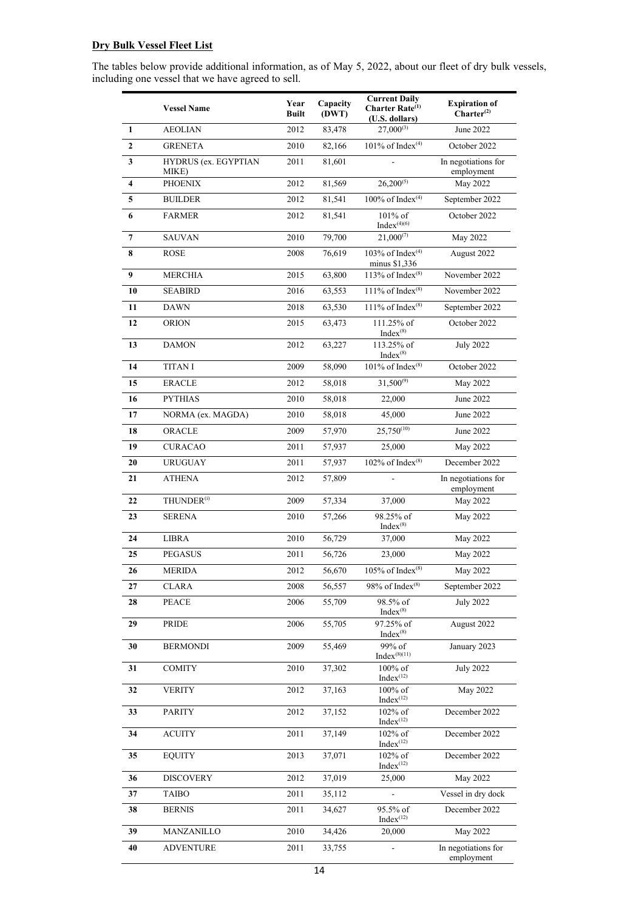# **Dry Bulk Vessel Fleet List**

The tables below provide additional information, as of May 5, 2022, about our fleet of dry bulk vessels, including one vessel that we have agreed to sell.

|                         | <b>Vessel Name</b>            | Year<br><b>Built</b> | Capacity<br>(DWT) | <b>Current Daily</b><br>Charter Rate <sup>(1)</sup><br>(U.S. dollars) | <b>Expiration of</b><br>$Charter^{(2)}$ |
|-------------------------|-------------------------------|----------------------|-------------------|-----------------------------------------------------------------------|-----------------------------------------|
| $\mathbf{1}$            | <b>AEOLIAN</b>                | 2012                 | 83,478            | $27,000^{(3)}$                                                        | June 2022                               |
| $\mathbf{2}$            | <b>GRENETA</b>                | 2010                 | 82,166            | 101% of Index <sup>(4)</sup>                                          | October 2022                            |
| $\mathbf{3}$            | HYDRUS (ex. EGYPTIAN<br>MIKE) | 2011                 | 81,601            |                                                                       | In negotiations for<br>employment       |
| $\overline{\mathbf{4}}$ | <b>PHOENIX</b>                | 2012                 | 81,569            | $26,200^{(5)}$                                                        | May 2022                                |
| 5                       | <b>BUILDER</b>                | 2012                 | 81,541            | 100% of Index <sup>(4)</sup>                                          | September 2022                          |
| 6                       | <b>FARMER</b>                 | 2012                 | 81,541            | 101% of<br>Index $(4)(6)$                                             | October 2022                            |
| $\overline{7}$          | <b>SAUVAN</b>                 | 2010                 | 79,700            | $21,000^{(7)}$                                                        | May 2022                                |
| 8                       | <b>ROSE</b>                   | 2008                 | 76,619            | 103% of Index <sup>(4)</sup><br>minus \$1,336                         | August 2022                             |
| $\boldsymbol{9}$        | <b>MERCHIA</b>                | 2015                 | 63,800            | 113% of $Index^{(8)}$                                                 | November 2022                           |
| 10                      | <b>SEABIRD</b>                | 2016                 | 63,553            | 111% of Index $(8)$                                                   | November 2022                           |
| 11                      | <b>DAWN</b>                   | 2018                 | 63,530            | 111% of Index $(8)$                                                   | September 2022                          |
| 12                      | <b>ORION</b>                  | 2015                 | 63,473            | 111.25% of<br>$Index^{(8)}$                                           | October 2022                            |
| 13                      | <b>DAMON</b>                  | 2012                 | 63,227            | 113.25% of<br>$Index^{(8)}$                                           | <b>July 2022</b>                        |
| 14                      | <b>TITAN I</b>                | 2009                 | 58,090            | 101% of $Index^{(8)}$                                                 | October 2022                            |
| 15                      | <b>ERACLE</b>                 | 2012                 | 58,018            | $31,500^{(9)}$                                                        | May 2022                                |
| 16                      | <b>PYTHIAS</b>                | 2010                 | 58,018            | 22,000                                                                | June 2022                               |
| 17                      | NORMA (ex. MAGDA)             | 2010                 | 58,018            | 45,000                                                                | June 2022                               |
| 18                      | ORACLE                        | 2009                 | 57,970            | $25,750^{(10)}$                                                       | June 2022                               |
| 19                      | <b>CURACAO</b>                | 2011                 | 57,937            | 25,000                                                                | May 2022                                |
| 20                      | <b>URUGUAY</b>                | 2011                 | 57,937            | 102% of $Index^{(8)}$                                                 | December 2022                           |
| 21                      | <b>ATHENA</b>                 | 2012                 | 57,809            |                                                                       | In negotiations for<br>employment       |
| 22                      | THUNDER <sup>(i)</sup>        | 2009                 | 57,334            | 37,000                                                                | May 2022                                |
| 23                      | <b>SERENA</b>                 | 2010                 | 57,266            | 98.25% of<br>$Index^{(8)}$                                            | May 2022                                |
| 24                      | <b>LIBRA</b>                  | 2010                 | 56,729            | 37,000                                                                | May 2022                                |
| 25                      | <b>PEGASUS</b>                | 2011                 | 56,726            | 23,000                                                                | May 2022                                |
| 26                      | <b>MERIDA</b>                 | 2012                 | 56,670            | $105\%$ of $Index^{(8)}$                                              | May 2022                                |
| 27                      | <b>CLARA</b>                  | 2008                 | 56,557            | 98% of $Index^{(8)}$                                                  | September 2022                          |
| 28                      | <b>PEACE</b>                  | 2006                 | 55,709            | 98.5% of<br>$Index^{(8)}$                                             | <b>July 2022</b>                        |
| 29                      | PRIDE                         | 2006                 | 55,705            | 97.25% of<br>$Index^{(8)}$                                            | August 2022                             |
| 30                      | <b>BERMONDI</b>               | 2009                 | 55,469            | 99% of<br>$Index^{(8)(11)}$                                           | January 2023                            |
| 31                      | <b>COMITY</b>                 | 2010                 | 37,302            | $100\%$ of<br>$Index^{(12)}$                                          | <b>July 2022</b>                        |
| 32                      | <b>VERITY</b>                 | 2012                 | 37,163            | $100\%$ of<br>$Index^{(12)}$                                          | May 2022                                |
| 33                      | <b>PARITY</b>                 | 2012                 | 37,152            | 102% of<br>$Index^{(12)}$                                             | December 2022                           |
| 34                      | <b>ACUITY</b>                 | 2011                 | 37,149            | $102\%$ of<br>$Index^{(12)}$                                          | December 2022                           |
| 35                      | <b>EQUITY</b>                 | 2013                 | 37,071            | 102% of<br>$Index^{(12)}$                                             | December 2022                           |
| 36                      | <b>DISCOVERY</b>              | 2012                 | 37,019            | 25,000                                                                | May 2022                                |
| 37                      | <b>TAIBO</b>                  | 2011                 | 35,112            |                                                                       | Vessel in dry dock                      |
| 38                      | <b>BERNIS</b>                 | 2011                 | 34,627            | 95.5% of<br>$Index^{(12)}$                                            | December 2022                           |
| 39                      | MANZANILLO                    | 2010                 | 34,426            | 20,000                                                                | May 2022                                |
| 40                      | <b>ADVENTURE</b>              | 2011                 | 33,755            | $\overline{\phantom{a}}$                                              | In negotiations for<br>employment       |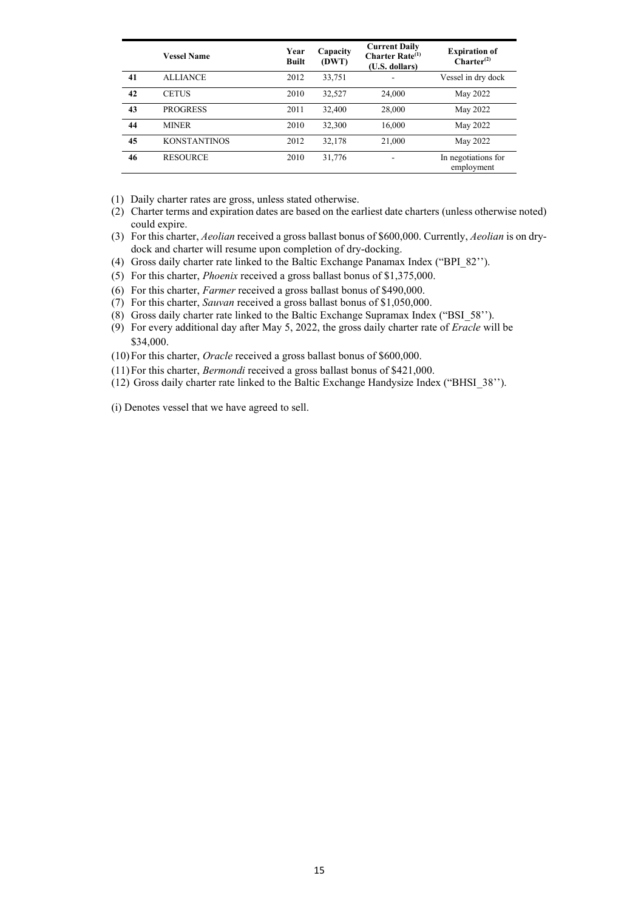|    | <b>Vessel Name</b>  | Year<br><b>Built</b> | Capacity<br>(DWT) | <b>Current Daily</b><br><b>Charter Rate</b> $^{(1)}$<br>(U.S. dollars) | <b>Expiration of</b><br>Charter <sup>(2)</sup> |
|----|---------------------|----------------------|-------------------|------------------------------------------------------------------------|------------------------------------------------|
| 41 | <b>ALLIANCE</b>     | 2012                 | 33,751            | ۰                                                                      | Vessel in dry dock                             |
| 42 | <b>CETUS</b>        | 2010                 | 32,527            | 24,000                                                                 | May 2022                                       |
| 43 | <b>PROGRESS</b>     | 2011                 | 32,400            | 28,000                                                                 | May 2022                                       |
| 44 | <b>MINER</b>        | 2010                 | 32,300            | 16,000                                                                 | May 2022                                       |
| 45 | <b>KONSTANTINOS</b> | 2012                 | 32,178            | 21,000                                                                 | May 2022                                       |
| 46 | <b>RESOURCE</b>     | 2010                 | 31,776            | ۰                                                                      | In negotiations for<br>employment              |

(1) Daily charter rates are gross, unless stated otherwise.

- (2) Charter terms and expiration dates are based on the earliest date charters (unless otherwise noted) could expire.
- (3) For this charter, *Aeolian* received a gross ballast bonus of \$600,000. Currently, *Aeolian* is on drydock and charter will resume upon completion of dry-docking.
- (4) Gross daily charter rate linked to the Baltic Exchange Panamax Index ("BPI\_82'').
- (5) For this charter, *Phoenix* received a gross ballast bonus of \$1,375,000.
- (6) For this charter, *Farmer* received a gross ballast bonus of \$490,000.
- (7) For this charter, *Sauvan* received a gross ballast bonus of \$1,050,000.
- (8) Gross daily charter rate linked to the Baltic Exchange Supramax Index ("BSI\_58'').
- (9) For every additional day after May 5, 2022, the gross daily charter rate of *Eracle* will be \$34,000.
- (10)For this charter, *Oracle* received a gross ballast bonus of \$600,000.
- (11)For this charter, *Bermondi* received a gross ballast bonus of \$421,000.
- (12) Gross daily charter rate linked to the Baltic Exchange Handysize Index ("BHSI\_38'').

(i) Denotes vessel that we have agreed to sell.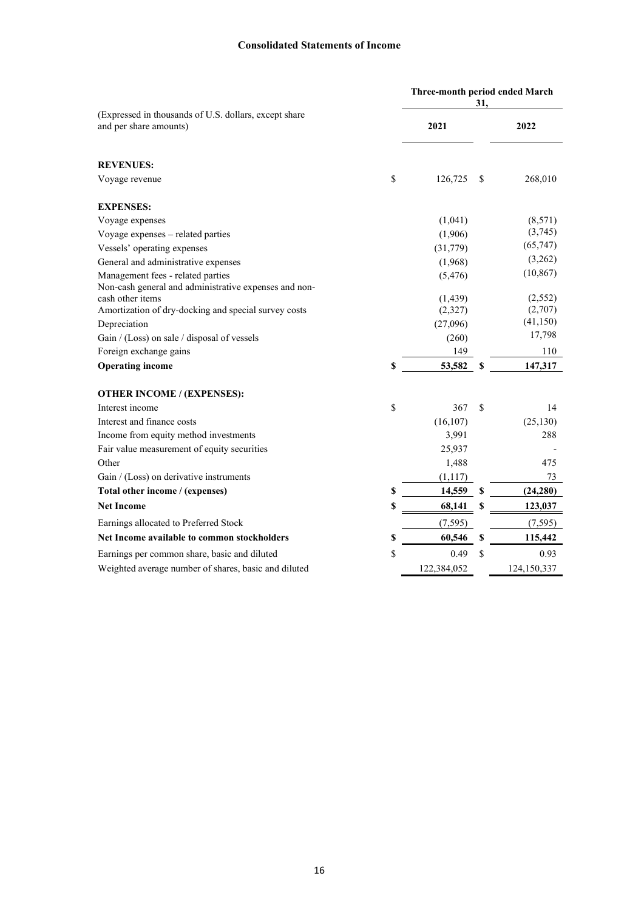## **Consolidated Statements of Income**

|                                                                                                                                                                                                  |    | Three-month period ended March<br>31,    |     |                                           |  |
|--------------------------------------------------------------------------------------------------------------------------------------------------------------------------------------------------|----|------------------------------------------|-----|-------------------------------------------|--|
| (Expressed in thousands of U.S. dollars, except share<br>and per share amounts)                                                                                                                  |    | 2021                                     |     | 2022                                      |  |
| <b>REVENUES:</b>                                                                                                                                                                                 |    |                                          |     |                                           |  |
| Voyage revenue                                                                                                                                                                                   | \$ | 126,725                                  | \$. | 268,010                                   |  |
| <b>EXPENSES:</b>                                                                                                                                                                                 |    |                                          |     |                                           |  |
| Voyage expenses                                                                                                                                                                                  |    | (1,041)                                  |     | (8,571)                                   |  |
| Voyage expenses - related parties                                                                                                                                                                |    | (1,906)                                  |     | (3,745)                                   |  |
| Vessels' operating expenses                                                                                                                                                                      |    | (31,779)                                 |     | (65,747)                                  |  |
| General and administrative expenses                                                                                                                                                              |    | (1,968)                                  |     | (3,262)                                   |  |
| Management fees - related parties                                                                                                                                                                |    | (5, 476)                                 |     | (10, 867)                                 |  |
| Non-cash general and administrative expenses and non-<br>cash other items<br>Amortization of dry-docking and special survey costs<br>Depreciation<br>Gain / (Loss) on sale / disposal of vessels |    | (1, 439)<br>(2,327)<br>(27,096)<br>(260) |     | (2,552)<br>(2,707)<br>(41, 150)<br>17,798 |  |
| Foreign exchange gains                                                                                                                                                                           |    | 149                                      |     | 110                                       |  |
| <b>Operating income</b>                                                                                                                                                                          | \$ | 53,582                                   | S   | 147,317                                   |  |
| <b>OTHER INCOME / (EXPENSES):</b>                                                                                                                                                                |    |                                          |     |                                           |  |
| Interest income                                                                                                                                                                                  | \$ | 367                                      | \$  | 14                                        |  |
| Interest and finance costs                                                                                                                                                                       |    | (16, 107)                                |     | (25, 130)                                 |  |
| Income from equity method investments                                                                                                                                                            |    | 3,991                                    |     | 288                                       |  |
| Fair value measurement of equity securities                                                                                                                                                      |    | 25,937                                   |     |                                           |  |
| Other                                                                                                                                                                                            |    | 1,488                                    |     | 475                                       |  |
| Gain / (Loss) on derivative instruments                                                                                                                                                          |    | (1, 117)                                 |     | 73                                        |  |
| Total other income / (expenses)                                                                                                                                                                  | \$ | 14,559                                   | \$  | (24, 280)                                 |  |
| <b>Net Income</b>                                                                                                                                                                                | \$ | 68,141                                   | \$  | 123,037                                   |  |
| Earnings allocated to Preferred Stock                                                                                                                                                            |    | (7, 595)                                 |     | (7, 595)                                  |  |
| Net Income available to common stockholders                                                                                                                                                      |    | 60,546                                   | S   | 115,442                                   |  |
| Earnings per common share, basic and diluted                                                                                                                                                     | \$ | 0.49                                     | \$  | 0.93                                      |  |
| Weighted average number of shares, basic and diluted                                                                                                                                             |    | 122,384,052                              |     | 124,150,337                               |  |